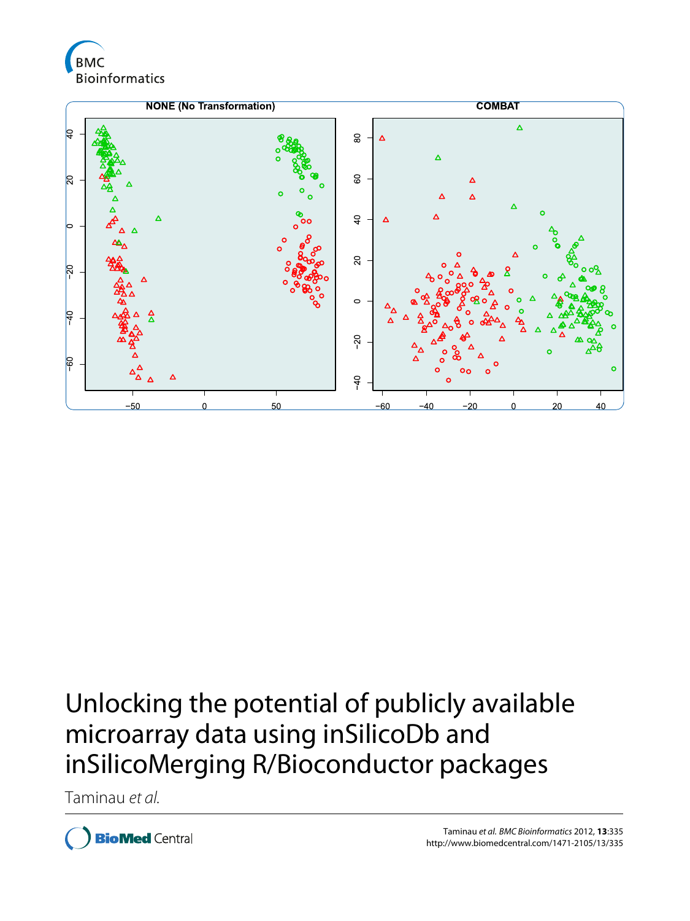



# Unlocking the potential of publicly available microarray data using inSilicoDb and inSilicoMerging R/Bioconductor packages

Taminau et al.

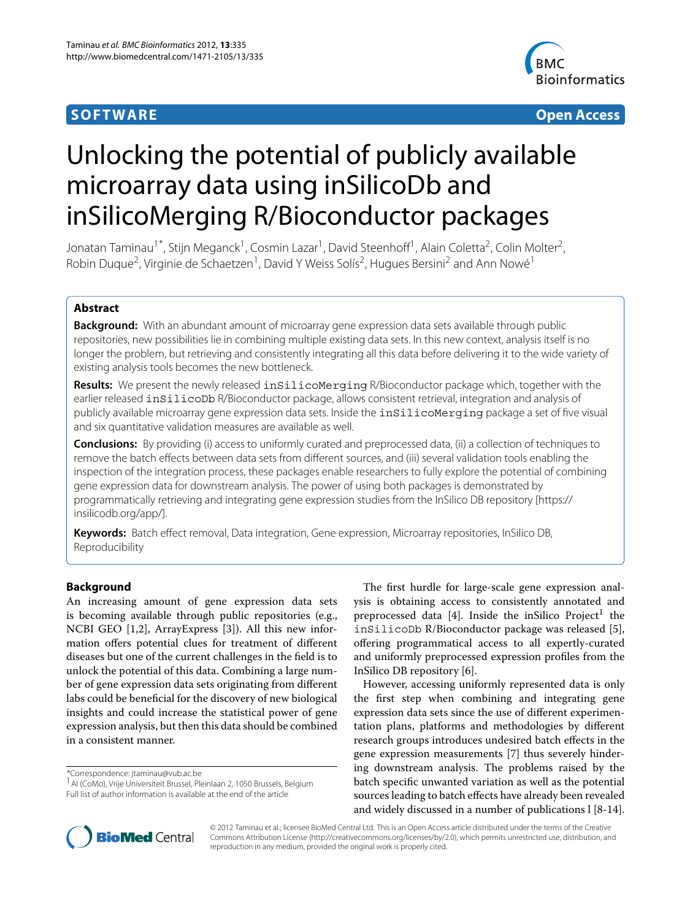# **SOFTWARE** Open Access **open Access**



# Unlocking the potential of publicly available microarray data using inSilicoDb and inSilicoMerging R/Bioconductor packages

Jonatan Taminau<sup>1\*</sup>, Stijn Meganck<sup>1</sup>, Cosmin Lazar<sup>1</sup>, David Steenhoff<sup>1</sup>, Alain Coletta<sup>2</sup>, Colin Molter<sup>2</sup>, Robin Duque<sup>2</sup>, Virginie de Schaetzen<sup>1</sup>, David Y Weiss Solís<sup>2</sup>, Hugues Bersini<sup>2</sup> and Ann Nowé<sup>1</sup>

# **Abstract**

**Background:** With an abundant amount of microarray gene expression data sets available through public repositories, new possibilities lie in combining multiple existing data sets. In this new context, analysis itself is no longer the problem, but retrieving and consistently integrating all this data before delivering it to the wide variety of existing analysis tools becomes the new bottleneck.

Results: We present the newly released inSilicoMerging R/Bioconductor package which, together with the earlier released inSilicoDb R/Bioconductor package, allows consistent retrieval, integration and analysis of publicly available microarray gene expression data sets. Inside the inSilicoMerging package a set of five visual and six quantitative validation measures are available as well.

**Conclusions:** By providing (i) access to uniformly curated and preprocessed data, (ii) a collection of techniques to remove the batch effects between data sets from different sources, and (iii) several validation tools enabling the inspection of the integration process, these packages enable researchers to fully explore the potential of combining gene expression data for downstream analysis. The power of using both packages is demonstrated by programmatically retrieving and integrating gene expression studies from the InSilico DB repository [\[https://](https://insilicodb.org/app/) [insilicodb.org/app/\]](https://insilicodb.org/app/).

**Keywords:** Batch effect removal, Data integration, Gene expression, Microarray repositories, InSilico DB, Reproducibility

# **Background**

An increasing amount of gene expression data sets is becoming available through public repositories (e.g., NCBI GEO [\[1](#page-8-0)[,2\]](#page-8-1), ArrayExpress [\[3\]](#page-8-2)). All this new information offers potential clues for treatment of different diseases but one of the current challenges in the field is to unlock the potential of this data. Combining a large number of gene expression data sets originating from different labs could be beneficial for the discovery of new biological insights and could increase the statistical power of gene expression analysis, but then this data should be combined in a consistent manner.

\*Correspondence: jtaminau@vub.ac.be

1AI (CoMo), Vrije Universiteit Brussel, Pleinlaan 2, 1050 Brussels, Belgium Full list of author information is available at the end of the article

The first hurdle for large-scale gene expression analysis is obtaining access to consistently annotated and preprocessed data [\[4\]](#page-8-3). Inside the inSilico Project<sup>1</sup> the inSilicoDb R/Bioconductor package was released [\[5\]](#page-8-4), offering programmatical access to all expertly-curated and uniformly preprocessed expression profiles from the InSilico DB repository [\[6\]](#page-8-5).

However, accessing uniformly represented data is only the first step when combining and integrating gene expression data sets since the use of different experimentation plans, platforms and methodologies by different research groups introduces undesired batch effects in the gene expression measurements [\[7\]](#page-8-6) thus severely hindering downstream analysis. The problems raised by the batch specific unwanted variation as well as the potential sources leading to batch effects have already been revealed and widely discussed in a number of publications l [\[8](#page-8-7)[-14\]](#page-8-8).



© 2012 Taminau et al.; licensee BioMed Central Ltd. This is an Open Access article distributed under the terms of the Creative Commons Attribution License (http://creativecommons.org/licenses/by/2.0), which permits unrestricted use, distribution, and reproduction in any medium, provided the original work is properly cited.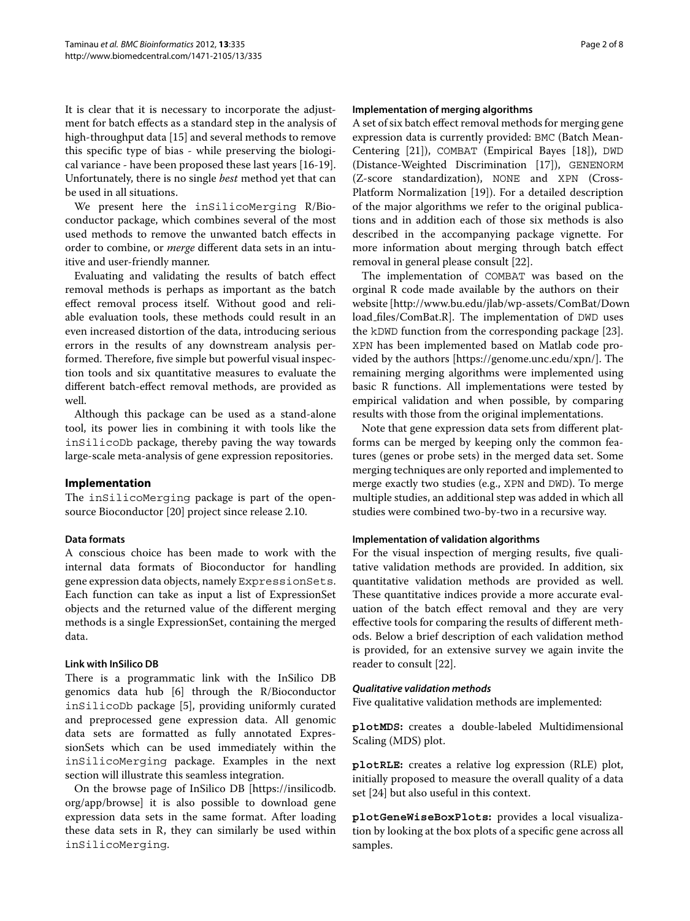It is clear that it is necessary to incorporate the adjustment for batch effects as a standard step in the analysis of high-throughput data [\[15\]](#page-8-9) and several methods to remove this specific type of bias - while preserving the biological variance - have been proposed these last years [\[16-](#page-8-10)[19\]](#page-8-11). Unfortunately, there is no single *best* method yet that can be used in all situations.

We present here the inSilicoMerging R/Bioconductor package, which combines several of the most used methods to remove the unwanted batch effects in order to combine, or *merge* different data sets in an intuitive and user-friendly manner.

Evaluating and validating the results of batch effect removal methods is perhaps as important as the batch effect removal process itself. Without good and reliable evaluation tools, these methods could result in an even increased distortion of the data, introducing serious errors in the results of any downstream analysis performed. Therefore, five simple but powerful visual inspection tools and six quantitative measures to evaluate the different batch-effect removal methods, are provided as well.

Although this package can be used as a stand-alone tool, its power lies in combining it with tools like the inSilicoDb package, thereby paving the way towards large-scale meta-analysis of gene expression repositories.

# **Implementation**

The inSilicoMerging package is part of the opensource Bioconductor [\[20\]](#page-8-12) project since release 2.10.

# **Data formats**

A conscious choice has been made to work with the internal data formats of Bioconductor for handling gene expression data objects, namely ExpressionSets. Each function can take as input a list of ExpressionSet objects and the returned value of the different merging methods is a single ExpressionSet, containing the merged data.

#### **Link with InSilico DB**

There is a programmatic link with the InSilico DB genomics data hub [\[6\]](#page-8-5) through the R/Bioconductor inSilicoDb package [\[5\]](#page-8-4), providing uniformly curated and preprocessed gene expression data. All genomic data sets are formatted as fully annotated ExpressionSets which can be used immediately within the inSilicoMerging package. Examples in the next section will illustrate this seamless integration.

On the browse page of InSilico DB [\[https://insilicodb.](https://insilicodb.org/app/browse) [org/app/browse\]](https://insilicodb.org/app/browse) it is also possible to download gene expression data sets in the same format. After loading these data sets in R, they can similarly be used within inSilicoMerging.

#### **Implementation of merging algorithms**

A set of six batch effect removal methods for merging gene expression data is currently provided: BMC (Batch Mean-Centering [\[21\]](#page-8-13)), COMBAT (Empirical Bayes [\[18\]](#page-8-14)), DWD (Distance-Weighted Discrimination [\[17\]](#page-8-15)), GENENORM (Z-score standardization), NONE and XPN (Cross-Platform Normalization [\[19\]](#page-8-11)). For a detailed description of the major algorithms we refer to the original publications and in addition each of those six methods is also described in the accompanying package vignette. For more information about merging through batch effect removal in general please consult [\[22\]](#page-8-16).

The implementation of COMBAT was based on the orginal R code made available by the authors on their website [\[http://www.bu.edu/jlab/wp-assets/ComBat/Down](http://www.bioconductor.org/packages/release/bioc/html/inSilicoMerging.html) load [files/ComBat.R\]](http://www.bioconductor.org/packages/release/bioc/html/inSilicoMerging.html). The implementation of DWD uses the kDWD function from the corresponding package [\[23\]](#page-8-17). XPN has been implemented based on Matlab code provided by the authors [\[https://genome.unc.edu/xpn/\]](https://genome.unc.edu/xpn/). The remaining merging algorithms were implemented using basic R functions. All implementations were tested by empirical validation and when possible, by comparing results with those from the original implementations.

Note that gene expression data sets from different platforms can be merged by keeping only the common features (genes or probe sets) in the merged data set. Some merging techniques are only reported and implemented to merge exactly two studies (e.g., XPN and DWD). To merge multiple studies, an additional step was added in which all studies were combined two-by-two in a recursive way.

#### **Implementation of validation algorithms**

For the visual inspection of merging results, five qualitative validation methods are provided. In addition, six quantitative validation methods are provided as well. These quantitative indices provide a more accurate evaluation of the batch effect removal and they are very effective tools for comparing the results of different methods. Below a brief description of each validation method is provided, for an extensive survey we again invite the reader to consult [\[22\]](#page-8-16).

#### *Qualitative validation methods*

Five qualitative validation methods are implemented:

**plotMDS:** creates a double-labeled Multidimensional Scaling (MDS) plot.

**plotRLE:** creates a relative log expression (RLE) plot, initially proposed to measure the overall quality of a data set [\[24\]](#page-8-18) but also useful in this context.

**plotGeneWiseBoxPlots:** provides a local visualization by looking at the box plots of a specific gene across all samples.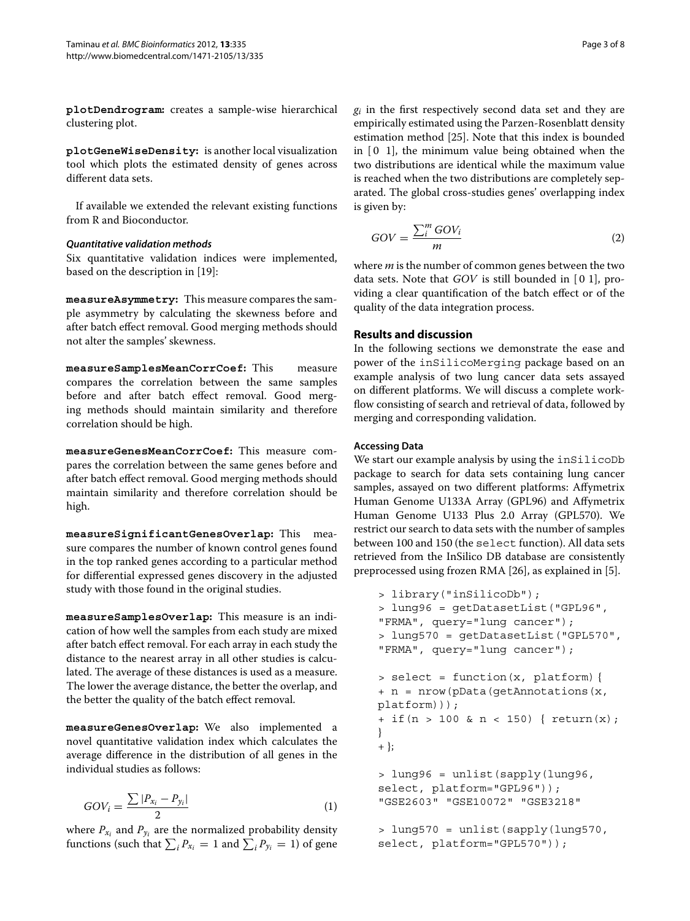**plotDendrogram:** creates a sample-wise hierarchical clustering plot.

**plotGeneWiseDensity:** is another local visualization tool which plots the estimated density of genes across different data sets.

If available we extended the relevant existing functions from R and Bioconductor.

#### *Quantitative validation methods*

Six quantitative validation indices were implemented, based on the description in [\[19\]](#page-8-11):

**measureAsymmetry:** This measure compares the sample asymmetry by calculating the skewness before and after batch effect removal. Good merging methods should not alter the samples' skewness.

**measureSamplesMeanCorrCoef:** This measure compares the correlation between the same samples before and after batch effect removal. Good merging methods should maintain similarity and therefore correlation should be high.

**measureGenesMeanCorrCoef:** This measure compares the correlation between the same genes before and after batch effect removal. Good merging methods should maintain similarity and therefore correlation should be high.

**measureSignificantGenesOverlap:** This measure compares the number of known control genes found in the top ranked genes according to a particular method for differential expressed genes discovery in the adjusted study with those found in the original studies.

**measureSamplesOverlap:** This measure is an indication of how well the samples from each study are mixed after batch effect removal. For each array in each study the distance to the nearest array in all other studies is calculated. The average of these distances is used as a measure. The lower the average distance, the better the overlap, and the better the quality of the batch effect removal.

**measureGenesOverlap:** We also implemented a novel quantitative validation index which calculates the average difference in the distribution of all genes in the individual studies as follows:

$$
GOV_i = \frac{\sum |P_{x_i} - P_{y_i}|}{2} \tag{1}
$$

where  $P_{x_i}$  and  $P_{y_i}$  are the normalized probability density functions (such that  $\sum_i P_{x_i} = 1$  and  $\sum_i P_{y_i} = 1$ ) of gene

*gi* in the first respectively second data set and they are empirically estimated using the Parzen-Rosenblatt density estimation method [\[25\]](#page-8-19). Note that this index is bounded in  $[0 \ 1]$ , the minimum value being obtained when the two distributions are identical while the maximum value is reached when the two distributions are completely separated. The global cross-studies genes' overlapping index is given by:

$$
GOV = \frac{\sum_{i}^{m} GOV_{i}}{m}
$$
 (2)

where *m* is the number of common genes between the two data sets. Note that *GOV* is still bounded in [0 1], providing a clear quantification of the batch effect or of the quality of the data integration process.

# **Results and discussion**

In the following sections we demonstrate the ease and power of the inSilicoMerging package based on an example analysis of two lung cancer data sets assayed on different platforms. We will discuss a complete workflow consisting of search and retrieval of data, followed by merging and corresponding validation.

# **Accessing Data**

We start our example analysis by using the inSilicoDb package to search for data sets containing lung cancer samples, assayed on two different platforms: Affymetrix Human Genome U133A Array (GPL96) and Affymetrix Human Genome U133 Plus 2.0 Array (GPL570). We restrict our search to data sets with the number of samples between 100 and 150 (the select function). All data sets retrieved from the InSilico DB database are consistently preprocessed using frozen RMA [\[26\]](#page-8-20), as explained in [\[5\]](#page-8-4).

```
> library("inSilicoDb");
> lung96 = getDatasetList("GPL96",
"FRMA", query="lung cancer");
> lung570 = getDatasetList("GPL570",
"FRMA", query="lung cancer");
> select = function(x, platform) {
+ n = nrow(pData(getAnnotations(x,
platform)));
+ if(n > 100 & n < 150) { return(x);
}
+ };
> lung96 = unlist(sapply(lung96,
select, platform="GPL96"));
"GSE2603" "GSE10072" "GSE3218"
> lung570 = unlist(sapply(lung570,
select, platform="GPL570"));
```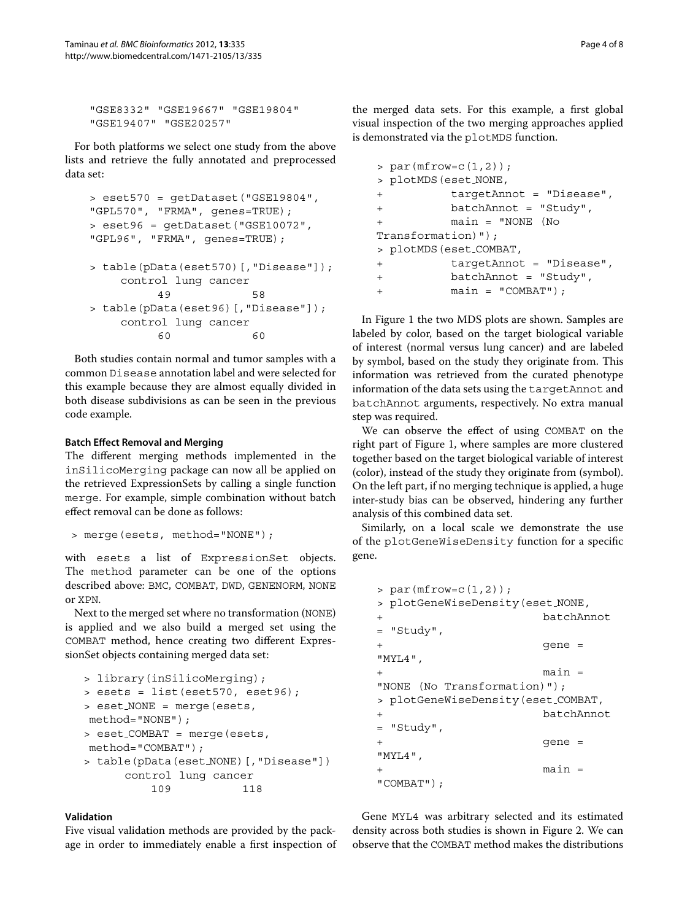"GSE8332" "GSE19667" "GSE19804" "GSE19407" "GSE20257"

For both platforms we select one study from the above lists and retrieve the fully annotated and preprocessed data set:

```
> eset570 = getDataset("GSE19804",
"GPL570", "FRMA", genes=TRUE);
> eset96 = getDataset("GSE10072",
"GPL96", "FRMA", genes=TRUE);
> table(pData(eset570)[,"Disease"]);
    control lung cancer
         49 58
> table(pData(eset96)[,"Disease"]);
    control lung cancer
         60 60
```
Both studies contain normal and tumor samples with a common Disease annotation label and were selected for this example because they are almost equally divided in both disease subdivisions as can be seen in the previous code example.

# **Batch Effect Removal and Merging**

The different merging methods implemented in the inSilicoMerging package can now all be applied on the retrieved ExpressionSets by calling a single function merge. For example, simple combination without batch effect removal can be done as follows:

```
> merge(esets, method="NONE");
```
with esets a list of ExpressionSet objects. The method parameter can be one of the options described above: BMC, COMBAT, DWD, GENENORM, NONE or XPN.

Next to the merged set where no transformation (NONE) is applied and we also build a merged set using the COMBAT method, hence creating two different ExpressionSet objects containing merged data set:

```
> library(inSilicoMerging);
> esets = list(eset570, eset96);
> eset NONE = merge(esets,
method="NONE");
> eset COMBAT = merge(esets,
method="COMBAT");
> table(pData(eset NONE)[,"Disease"])
      control lung cancer
         109 118
```
# **Validation**

Five visual validation methods are provided by the package in order to immediately enable a first inspection of the merged data sets. For this example, a first global visual inspection of the two merging approaches applied is demonstrated via the plotMDS function.

```
> par(mfrow=c(1,2));
> plotMDS(eset NONE,
+ targetAnnot = "Disease",
+ batchAnnot = "Study",
+ main = "NONE (No
Transformation)");
> plotMDS(eset COMBAT,
+ targetAnnot = "Disease",
+ batchAnnot = "Study",
+ main = "COMBAT");
```
In Figure [1](#page-5-0) the two MDS plots are shown. Samples are labeled by color, based on the target biological variable of interest (normal versus lung cancer) and are labeled by symbol, based on the study they originate from. This information was retrieved from the curated phenotype information of the data sets using the targetAnnot and batchAnnot arguments, respectively. No extra manual step was required.

We can observe the effect of using COMBAT on the right part of Figure [1,](#page-5-0) where samples are more clustered together based on the target biological variable of interest (color), instead of the study they originate from (symbol). On the left part, if no merging technique is applied, a huge inter-study bias can be observed, hindering any further analysis of this combined data set.

Similarly, on a local scale we demonstrate the use of the plotGeneWiseDensity function for a specific gene.

```
> par(mfrow=c(1,2));
> plotGeneWiseDensity(eset NONE,
+ batchAnnot
= "Study",
+ gene =
"MYL4",
+ main =
"NONE (No Transformation)");
> plotGeneWiseDensity(eset COMBAT,
+ batchAnnot
= "Study",
                 qene ="MYL4",
+ main =
"COMBAT");
```
Gene MYL4 was arbitrary selected and its estimated density across both studies is shown in Figure [2.](#page-5-1) We can observe that the COMBAT method makes the distributions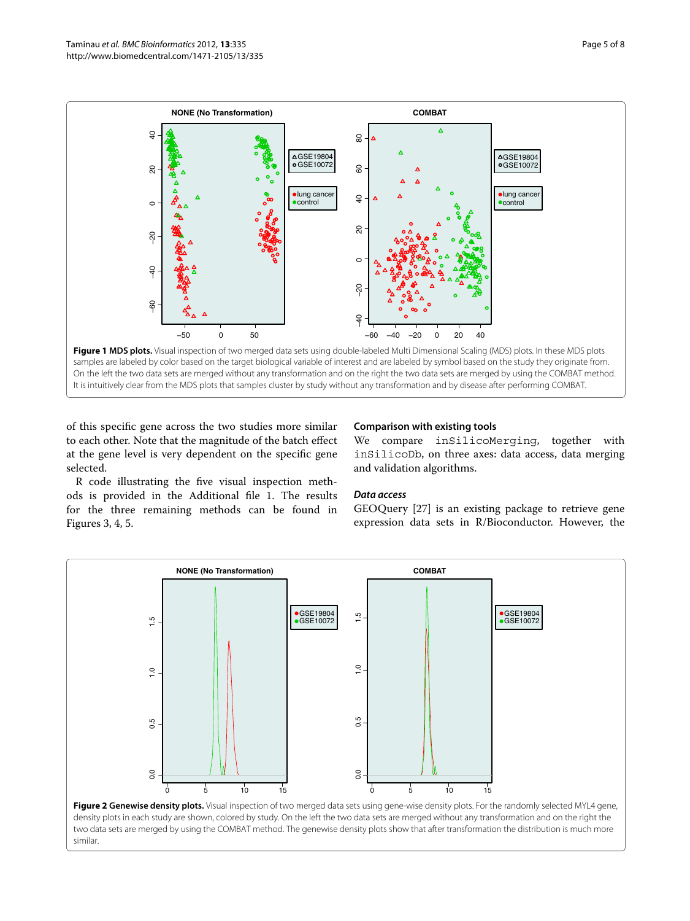

<span id="page-5-0"></span>of this specific gene across the two studies more similar to each other. Note that the magnitude of the batch effect at the gene level is very dependent on the specific gene selected.

# **Comparison with existing tools**

We compare inSilicoMerging, together with inSilicoDb, on three axes: data access, data merging and validation algorithms.

R code illustrating the five visual inspection methods is provided in the Additional file [1.](#page-8-21) The results for the three remaining methods can be found in Figures [3,](#page-6-0) [4,](#page-6-1) [5.](#page-7-0)

# *Data access*

GEOQuery [\[27\]](#page-8-22) is an existing package to retrieve gene expression data sets in R/Bioconductor. However, the

<span id="page-5-1"></span>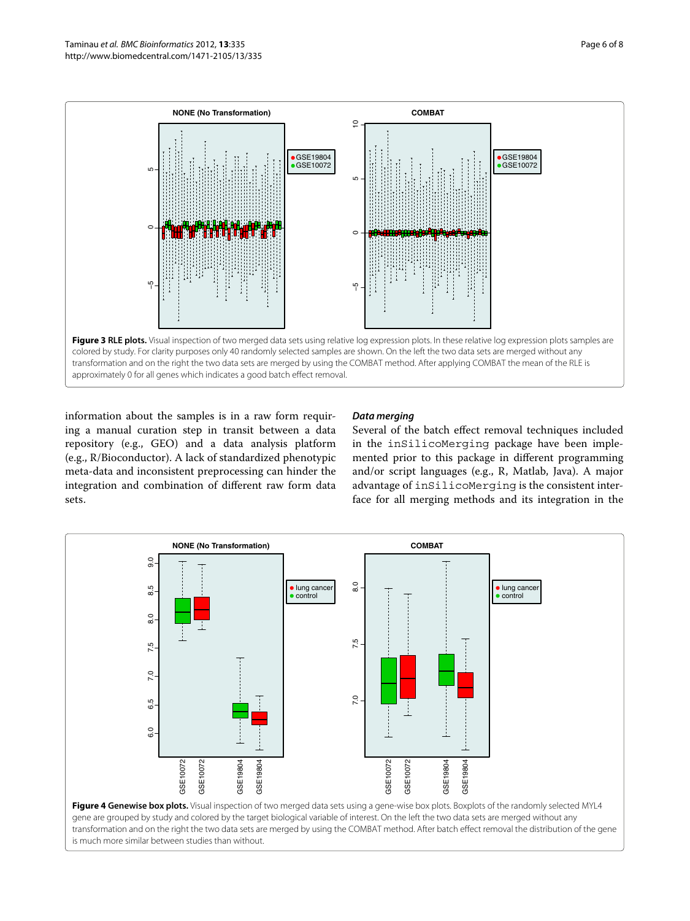

<span id="page-6-0"></span>information about the samples is in a raw form requiring a manual curation step in transit between a data repository (e.g., GEO) and a data analysis platform (e.g., R/Bioconductor). A lack of standardized phenotypic meta-data and inconsistent preprocessing can hinder the integration and combination of different raw form data sets.

# *Data merging*

Several of the batch effect removal techniques included in the inSilicoMerging package have been implemented prior to this package in different programming and/or script languages (e.g., R, Matlab, Java). A major advantage of inSilicoMerging is the consistent interface for all merging methods and its integration in the

<span id="page-6-1"></span>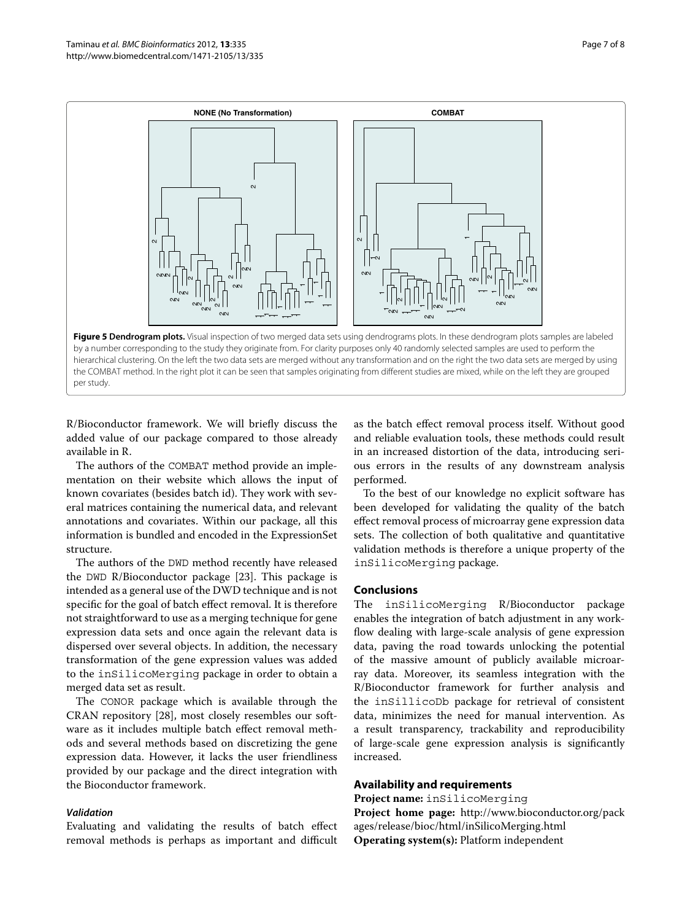

<span id="page-7-0"></span>R/Bioconductor framework. We will briefly discuss the added value of our package compared to those already available in R.

The authors of the COMBAT method provide an implementation on their website which allows the input of known covariates (besides batch id). They work with several matrices containing the numerical data, and relevant annotations and covariates. Within our package, all this information is bundled and encoded in the ExpressionSet structure.

The authors of the DWD method recently have released the DWD R/Bioconductor package [\[23\]](#page-8-17). This package is intended as a general use of the DWD technique and is not specific for the goal of batch effect removal. It is therefore not straightforward to use as a merging technique for gene expression data sets and once again the relevant data is dispersed over several objects. In addition, the necessary transformation of the gene expression values was added to the inSilicoMerging package in order to obtain a merged data set as result.

The CONOR package which is available through the CRAN repository [\[28\]](#page-8-23), most closely resembles our software as it includes multiple batch effect removal methods and several methods based on discretizing the gene expression data. However, it lacks the user friendliness provided by our package and the direct integration with the Bioconductor framework.

#### *Validation*

Evaluating and validating the results of batch effect removal methods is perhaps as important and difficult as the batch effect removal process itself. Without good and reliable evaluation tools, these methods could result in an increased distortion of the data, introducing serious errors in the results of any downstream analysis performed.

To the best of our knowledge no explicit software has been developed for validating the quality of the batch effect removal process of microarray gene expression data sets. The collection of both qualitative and quantitative validation methods is therefore a unique property of the inSilicoMerging package.

# **Conclusions**

The inSilicoMerging R/Bioconductor package enables the integration of batch adjustment in any workflow dealing with large-scale analysis of gene expression data, paving the road towards unlocking the potential of the massive amount of publicly available microarray data. Moreover, its seamless integration with the R/Bioconductor framework for further analysis and the inSillicoDb package for retrieval of consistent data, minimizes the need for manual intervention. As a result transparency, trackability and reproducibility of large-scale gene expression analysis is significantly increased.

# **Availability and requirements**

**Project name:** inSilicoMerging **Project home page:** [http://www.bioconductor.org/pack](http://www.bioconductor.org/packages/release/bioc/html/inSilicoMerging.html) [ages/release/bioc/html/inSilicoMerging.html](http://www.bioconductor.org/packages/release/bioc/html/inSilicoMerging.html) **Operating system(s):** Platform independent